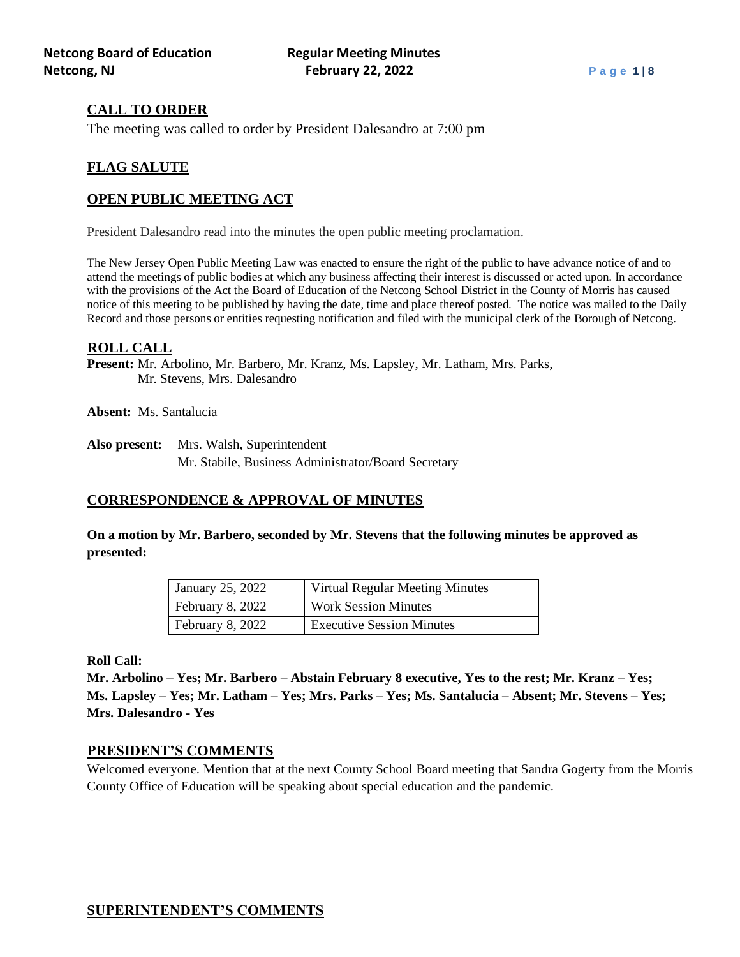## **CALL TO ORDER**

The meeting was called to order by President Dalesandro at 7:00 pm

## **FLAG SALUTE**

## **OPEN PUBLIC MEETING ACT**

President Dalesandro read into the minutes the open public meeting proclamation.

The New Jersey Open Public Meeting Law was enacted to ensure the right of the public to have advance notice of and to attend the meetings of public bodies at which any business affecting their interest is discussed or acted upon. In accordance with the provisions of the Act the Board of Education of the Netcong School District in the County of Morris has caused notice of this meeting to be published by having the date, time and place thereof posted. The notice was mailed to the Daily Record and those persons or entities requesting notification and filed with the municipal clerk of the Borough of Netcong.

#### **ROLL CALL**

**Present:** Mr. Arbolino, Mr. Barbero, Mr. Kranz, Ms. Lapsley, Mr. Latham, Mrs. Parks, Mr. Stevens, Mrs. Dalesandro

**Absent:** Ms. Santalucia

**Also present:** Mrs. Walsh, Superintendent Mr. Stabile, Business Administrator/Board Secretary

## **CORRESPONDENCE & APPROVAL OF MINUTES**

**On a motion by Mr. Barbero, seconded by Mr. Stevens that the following minutes be approved as presented:**

| January 25, 2022 | Virtual Regular Meeting Minutes  |
|------------------|----------------------------------|
| February 8, 2022 | <b>Work Session Minutes</b>      |
| February 8, 2022 | <b>Executive Session Minutes</b> |

**Roll Call:**

**Mr. Arbolino – Yes; Mr. Barbero – Abstain February 8 executive, Yes to the rest; Mr. Kranz – Yes; Ms. Lapsley – Yes; Mr. Latham – Yes; Mrs. Parks – Yes; Ms. Santalucia – Absent; Mr. Stevens – Yes; Mrs. Dalesandro - Yes**

## **PRESIDENT'S COMMENTS**

Welcomed everyone. Mention that at the next County School Board meeting that Sandra Gogerty from the Morris County Office of Education will be speaking about special education and the pandemic.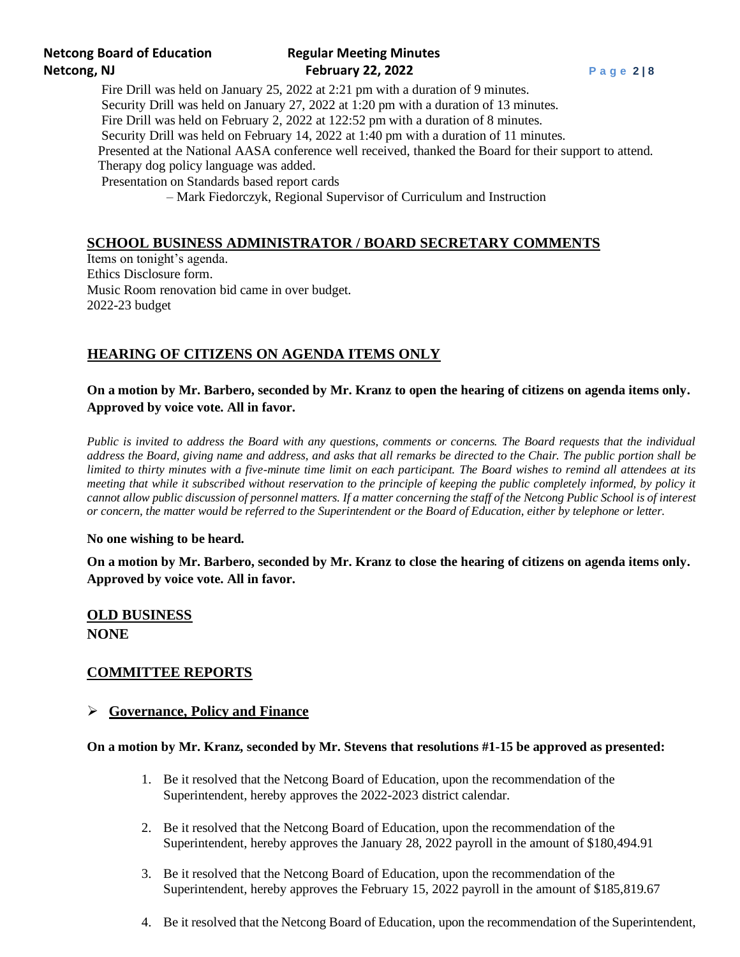# **Netcong Board of Education Regular Meeting Minutes Netcong, NJ February 22, 2022 P a g e 2 | 8**

Fire Drill was held on January 25, 2022 at 2:21 pm with a duration of 9 minutes. Security Drill was held on January 27, 2022 at 1:20 pm with a duration of 13 minutes. Fire Drill was held on February 2, 2022 at 122:52 pm with a duration of 8 minutes. Security Drill was held on February 14, 2022 at 1:40 pm with a duration of 11 minutes. Presented at the National AASA conference well received, thanked the Board for their support to attend. Therapy dog policy language was added. Presentation on Standards based report cards

– Mark Fiedorczyk, Regional Supervisor of Curriculum and Instruction

## **SCHOOL BUSINESS ADMINISTRATOR / BOARD SECRETARY COMMENTS**

Items on tonight's agenda. Ethics Disclosure form. Music Room renovation bid came in over budget. 2022-23 budget

## **HEARING OF CITIZENS ON AGENDA ITEMS ONLY**

## **On a motion by Mr. Barbero, seconded by Mr. Kranz to open the hearing of citizens on agenda items only. Approved by voice vote. All in favor.**

*Public is invited to address the Board with any questions, comments or concerns. The Board requests that the individual address the Board, giving name and address, and asks that all remarks be directed to the Chair. The public portion shall be limited to thirty minutes with a five-minute time limit on each participant. The Board wishes to remind all attendees at its meeting that while it subscribed without reservation to the principle of keeping the public completely informed, by policy it cannot allow public discussion of personnel matters. If a matter concerning the staff of the Netcong Public School is of interest or concern, the matter would be referred to the Superintendent or the Board of Education, either by telephone or letter.*

**No one wishing to be heard.**

**On a motion by Mr. Barbero, seconded by Mr. Kranz to close the hearing of citizens on agenda items only. Approved by voice vote. All in favor.**

# **OLD BUSINESS NONE**

## **COMMITTEE REPORTS**

## ➢ **Governance, Policy and Finance**

#### **On a motion by Mr. Kranz, seconded by Mr. Stevens that resolutions #1-15 be approved as presented:**

- 1. Be it resolved that the Netcong Board of Education, upon the recommendation of the Superintendent, hereby approves the 2022-2023 district calendar.
- 2. Be it resolved that the Netcong Board of Education, upon the recommendation of the Superintendent, hereby approves the January 28, 2022 payroll in the amount of \$180,494.91
- 3. Be it resolved that the Netcong Board of Education, upon the recommendation of the Superintendent, hereby approves the February 15, 2022 payroll in the amount of \$185,819.67
- 4. Be it resolved that the Netcong Board of Education, upon the recommendation of the Superintendent,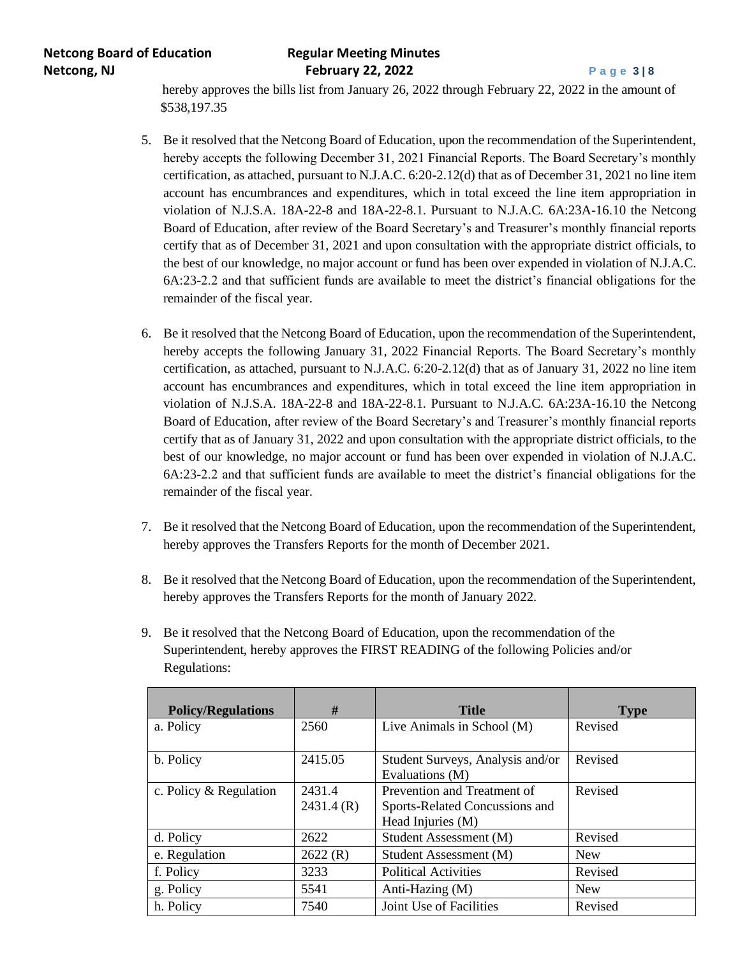**Netcong Board of Education Regular Meeting Minutes Netcong, NJ February 22, 2022 Page 3** | 8

 hereby approves the bills list from January 26, 2022 through February 22, 2022 in the amount of \$538,197.35

- 5. Be it resolved that the Netcong Board of Education, upon the recommendation of the Superintendent, hereby accepts the following December 31, 2021 Financial Reports. The Board Secretary's monthly certification, as attached, pursuant to N.J.A.C. 6:20-2.12(d) that as of December 31, 2021 no line item account has encumbrances and expenditures, which in total exceed the line item appropriation in violation of N.J.S.A. 18A-22-8 and 18A-22-8.1. Pursuant to N.J.A.C. 6A:23A-16.10 the Netcong Board of Education, after review of the Board Secretary's and Treasurer's monthly financial reports certify that as of December 31, 2021 and upon consultation with the appropriate district officials, to the best of our knowledge, no major account or fund has been over expended in violation of N.J.A.C. 6A:23-2.2 and that sufficient funds are available to meet the district's financial obligations for the remainder of the fiscal year.
- 6. Be it resolved that the Netcong Board of Education, upon the recommendation of the Superintendent, hereby accepts the following January 31, 2022 Financial Reports. The Board Secretary's monthly certification, as attached, pursuant to N.J.A.C. 6:20-2.12(d) that as of January 31, 2022 no line item account has encumbrances and expenditures, which in total exceed the line item appropriation in violation of N.J.S.A. 18A-22-8 and 18A-22-8.1. Pursuant to N.J.A.C. 6A:23A-16.10 the Netcong Board of Education, after review of the Board Secretary's and Treasurer's monthly financial reports certify that as of January 31, 2022 and upon consultation with the appropriate district officials, to the best of our knowledge, no major account or fund has been over expended in violation of N.J.A.C. 6A:23-2.2 and that sufficient funds are available to meet the district's financial obligations for the remainder of the fiscal year.
- 7. Be it resolved that the Netcong Board of Education, upon the recommendation of the Superintendent, hereby approves the Transfers Reports for the month of December 2021.
- 8. Be it resolved that the Netcong Board of Education, upon the recommendation of the Superintendent, hereby approves the Transfers Reports for the month of January 2022.
- 9. Be it resolved that the Netcong Board of Education, upon the recommendation of the Superintendent, hereby approves the FIRST READING of the following Policies and/or Regulations:

| <b>Policy/Regulations</b> | #                   | <b>Title</b>                                                                       | <b>Type</b> |
|---------------------------|---------------------|------------------------------------------------------------------------------------|-------------|
| a. Policy                 | 2560                | Live Animals in School (M)                                                         | Revised     |
| b. Policy                 | 2415.05             | Student Surveys, Analysis and/or<br>Evaluations (M)                                | Revised     |
| c. Policy & Regulation    | 2431.4<br>2431.4(R) | Prevention and Treatment of<br>Sports-Related Concussions and<br>Head Injuries (M) | Revised     |
| d. Policy                 | 2622                | Student Assessment (M)                                                             | Revised     |
| e. Regulation             | 2622(R)             | Student Assessment (M)                                                             | <b>New</b>  |
| f. Policy                 | 3233                | <b>Political Activities</b>                                                        | Revised     |
| g. Policy                 | 5541                | Anti-Hazing (M)                                                                    | <b>New</b>  |
| h. Policy                 | 7540                | Joint Use of Facilities                                                            | Revised     |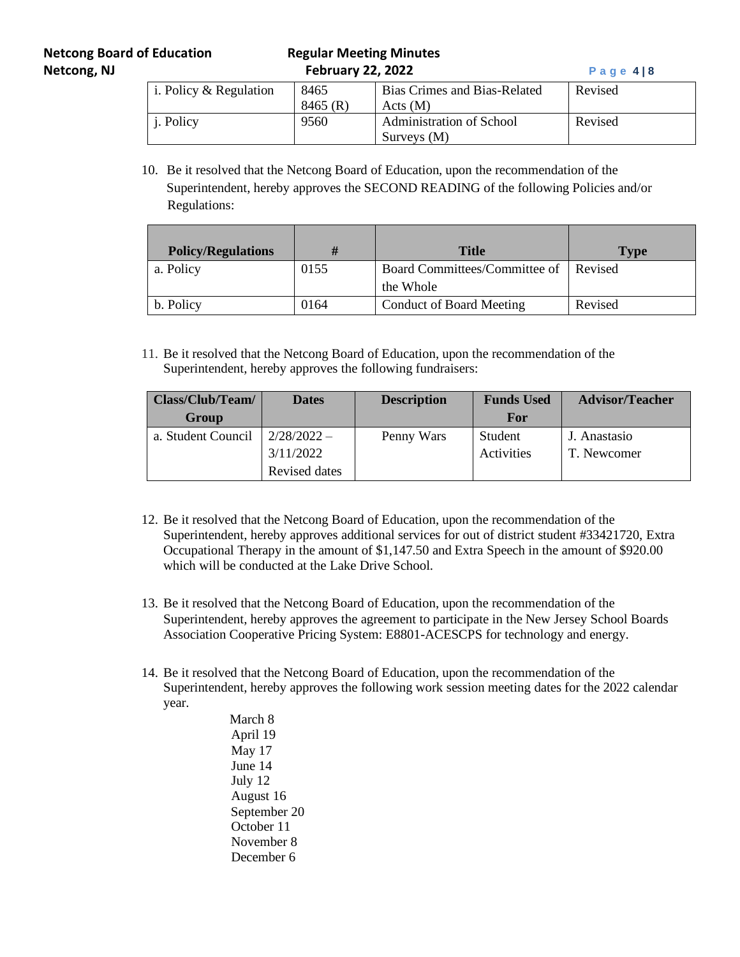## **Netcong Board of Education Regular Meeting Minutes Netcong, NJ February 22, 2022 Page 4|8**

| i. Policy $&$ Regulation | 8465    | Bias Crimes and Bias-Related | Revised |
|--------------------------|---------|------------------------------|---------|
|                          | 8465(R) | Acts(M)                      |         |
| <i>i</i> . Policy        | 9560    | Administration of School     | Revised |
|                          |         | Surveys (M)                  |         |

10. Be it resolved that the Netcong Board of Education, upon the recommendation of the Superintendent, hereby approves the SECOND READING of the following Policies and/or Regulations:

| <b>Policy/Regulations</b> | Ħ    | <b>Title</b>                                       | Type    |
|---------------------------|------|----------------------------------------------------|---------|
| a. Policy                 | 0155 | Board Committees/Committee of Revised<br>the Whole |         |
|                           |      |                                                    |         |
| b. Policy                 | 0164 | <b>Conduct of Board Meeting</b>                    | Revised |

11. Be it resolved that the Netcong Board of Education, upon the recommendation of the Superintendent, hereby approves the following fundraisers:

| Class/Club/Team/   | <b>Dates</b>  | <b>Description</b> | <b>Funds Used</b> | <b>Advisor/Teacher</b> |
|--------------------|---------------|--------------------|-------------------|------------------------|
| Group              |               |                    | For               |                        |
| a. Student Council | $2/28/2022 -$ | Penny Wars         | Student           | J. Anastasio           |
|                    | 3/11/2022     |                    | Activities        | T. Newcomer            |
|                    | Revised dates |                    |                   |                        |

- 12. Be it resolved that the Netcong Board of Education, upon the recommendation of the Superintendent, hereby approves additional services for out of district student #33421720, Extra Occupational Therapy in the amount of \$1,147.50 and Extra Speech in the amount of \$920.00 which will be conducted at the Lake Drive School.
- 13. Be it resolved that the Netcong Board of Education, upon the recommendation of the Superintendent, hereby approves the agreement to participate in the New Jersey School Boards Association Cooperative Pricing System: E8801-ACESCPS for technology and energy.
- 14. Be it resolved that the Netcong Board of Education, upon the recommendation of the Superintendent, hereby approves the following work session meeting dates for the 2022 calendar year.

 March 8 April 19 May 17 June 14 July 12 August 16 September 20 October 11 November 8 December 6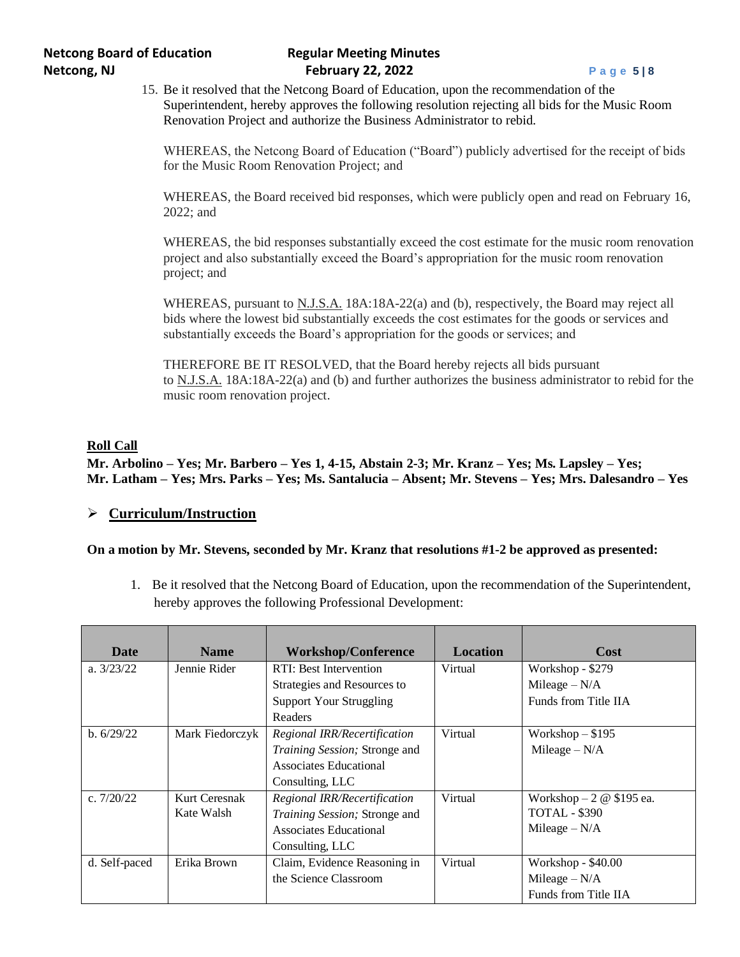15. Be it resolved that the Netcong Board of Education, upon the recommendation of the Superintendent, hereby approves the following resolution rejecting all bids for the Music Room Renovation Project and authorize the Business Administrator to rebid.

WHEREAS, the Netcong Board of Education ("Board") publicly advertised for the receipt of bids for the Music Room Renovation Project; and

WHEREAS, the Board received bid responses, which were publicly open and read on February 16, 2022; and

WHEREAS, the bid responses substantially exceed the cost estimate for the music room renovation project and also substantially exceed the Board's appropriation for the music room renovation project; and

WHEREAS, pursuant to N.J.S.A. 18A:18A-22(a) and (b), respectively, the Board may reject all bids where the lowest bid substantially exceeds the cost estimates for the goods or services and substantially exceeds the Board's appropriation for the goods or services; and

THEREFORE BE IT RESOLVED, that the Board hereby rejects all bids pursuant to N.J.S.A. 18A:18A-22(a) and (b) and further authorizes the business administrator to rebid for the music room renovation project.

#### **Roll Call**

**Mr. Arbolino – Yes; Mr. Barbero – Yes 1, 4-15, Abstain 2-3; Mr. Kranz – Yes; Ms. Lapsley – Yes; Mr. Latham – Yes; Mrs. Parks – Yes; Ms. Santalucia – Absent; Mr. Stevens – Yes; Mrs. Dalesandro – Yes**

### ➢ **Curriculum/Instruction**

#### **On a motion by Mr. Stevens, seconded by Mr. Kranz that resolutions #1-2 be approved as presented:**

1. Be it resolved that the Netcong Board of Education, upon the recommendation of the Superintendent, hereby approves the following Professional Development:

| Date          | <b>Name</b>     | <b>Workshop/Conference</b>     | Location | Cost                     |
|---------------|-----------------|--------------------------------|----------|--------------------------|
| a. $3/23/22$  | Jennie Rider    | RTI: Best Intervention         | Virtual  | Workshop - \$279         |
|               |                 | Strategies and Resources to    |          | Mileage $-N/A$           |
|               |                 | <b>Support Your Struggling</b> |          | Funds from Title IIA     |
|               |                 | Readers                        |          |                          |
| b. 6/29/22    | Mark Fiedorczyk | Regional IRR/Recertification   | Virtual  | Workshop $-$ \$195       |
|               |                 | Training Session; Stronge and  |          | Mileage $-N/A$           |
|               |                 | Associates Educational         |          |                          |
|               |                 | Consulting, LLC                |          |                          |
| c. $7/20/22$  | Kurt Ceresnak   | Regional IRR/Recertification   | Virtual  | Workshop $-2 \& 195$ ea. |
|               | Kate Walsh      | Training Session; Stronge and  |          | <b>TOTAL - \$390</b>     |
|               |                 | Associates Educational         |          | Mileage $-N/A$           |
|               |                 | Consulting, LLC                |          |                          |
| d. Self-paced | Erika Brown     | Claim, Evidence Reasoning in   | Virtual  | Workshop - \$40.00       |
|               |                 | the Science Classroom          |          | Mileage $-N/A$           |
|               |                 |                                |          | Funds from Title IIA     |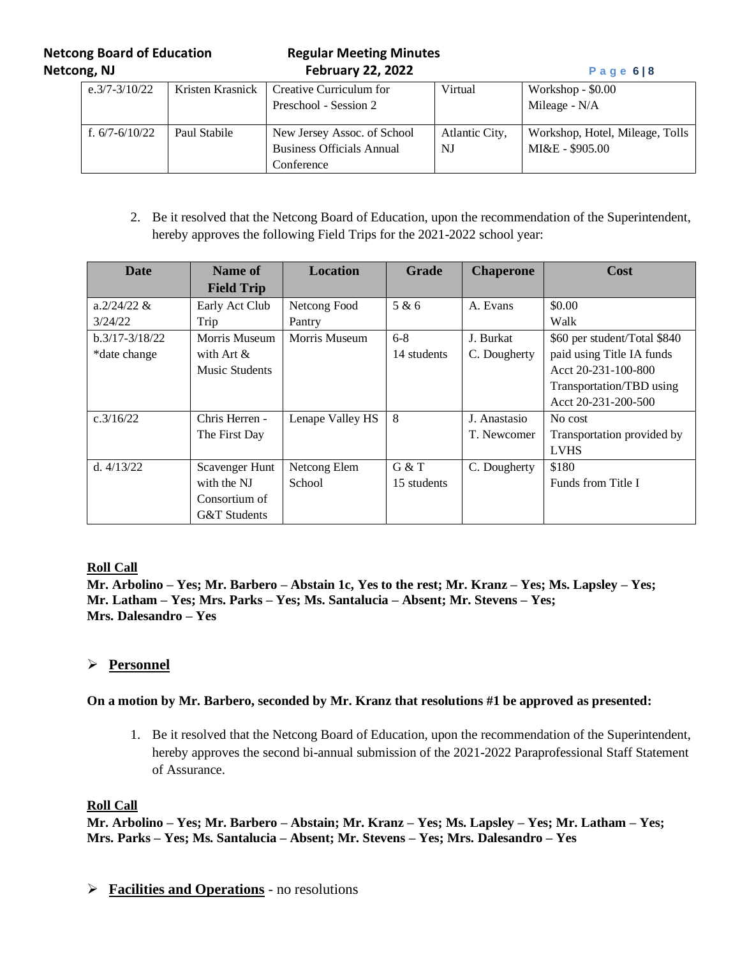**Netcong Board of Education Regular Meeting Minutes Netcong, NJ February 22, 2022 P a g e 6 | 8**

| e. $3/7 - 3/10/22$ | Kristen Krasnick | Creative Curriculum for<br>Preschool - Session 2                              | Virtual              | Workshop $-$ \$0.00<br>Mileage - N/A               |
|--------------------|------------------|-------------------------------------------------------------------------------|----------------------|----------------------------------------------------|
| f. $6/7 - 6/10/22$ | Paul Stabile     | New Jersey Assoc. of School<br><b>Business Officials Annual</b><br>Conference | Atlantic City,<br>NJ | Workshop, Hotel, Mileage, Tolls<br>MI&E - \$905.00 |

2. Be it resolved that the Netcong Board of Education, upon the recommendation of the Superintendent, hereby approves the following Field Trips for the 2021-2022 school year:

| Date               | Name of           | <b>Location</b>  | <b>Grade</b> | <b>Chaperone</b> | Cost                         |
|--------------------|-------------------|------------------|--------------|------------------|------------------------------|
|                    | <b>Field Trip</b> |                  |              |                  |                              |
| a. $2/24/22$ &     | Early Act Club    | Netcong Food     | 5 & 6        | A. Evans         | \$0.00                       |
| 3/24/22            | Trip              | Pantry           |              |                  | Walk                         |
| $b.3/17 - 3/18/22$ | Morris Museum     | Morris Museum    | $6-8$        | J. Burkat        | \$60 per student/Total \$840 |
| *date change       | with Art $\&$     |                  | 14 students  | C. Dougherty     | paid using Title IA funds    |
|                    | Music Students    |                  |              |                  | Acct $20-231-100-800$        |
|                    |                   |                  |              |                  | Transportation/TBD using     |
|                    |                   |                  |              |                  | Acct 20-231-200-500          |
| c.3/16/22          | Chris Herren -    | Lenape Valley HS | 8            | J. Anastasio     | No cost                      |
|                    | The First Day     |                  |              | T. Newcomer      | Transportation provided by   |
|                    |                   |                  |              |                  | <b>LVHS</b>                  |
| d. $4/13/22$       | Scavenger Hunt    | Netcong Elem     | G & T        | C. Dougherty     | \$180                        |
|                    | with the NJ       | School           | 15 students  |                  | Funds from Title I           |
|                    | Consortium of     |                  |              |                  |                              |
|                    | G&T Students      |                  |              |                  |                              |

## **Roll Call**

**Mr. Arbolino – Yes; Mr. Barbero – Abstain 1c, Yes to the rest; Mr. Kranz – Yes; Ms. Lapsley – Yes; Mr. Latham – Yes; Mrs. Parks – Yes; Ms. Santalucia – Absent; Mr. Stevens – Yes; Mrs. Dalesandro – Yes**

# ➢ **Personnel**

#### **On a motion by Mr. Barbero, seconded by Mr. Kranz that resolutions #1 be approved as presented:**

1. Be it resolved that the Netcong Board of Education, upon the recommendation of the Superintendent, hereby approves the second bi-annual submission of the 2021-2022 Paraprofessional Staff Statement of Assurance.

#### **Roll Call**

**Mr. Arbolino – Yes; Mr. Barbero – Abstain; Mr. Kranz – Yes; Ms. Lapsley – Yes; Mr. Latham – Yes; Mrs. Parks – Yes; Ms. Santalucia – Absent; Mr. Stevens – Yes; Mrs. Dalesandro – Yes**

➢ **Facilities and Operations** - no resolutions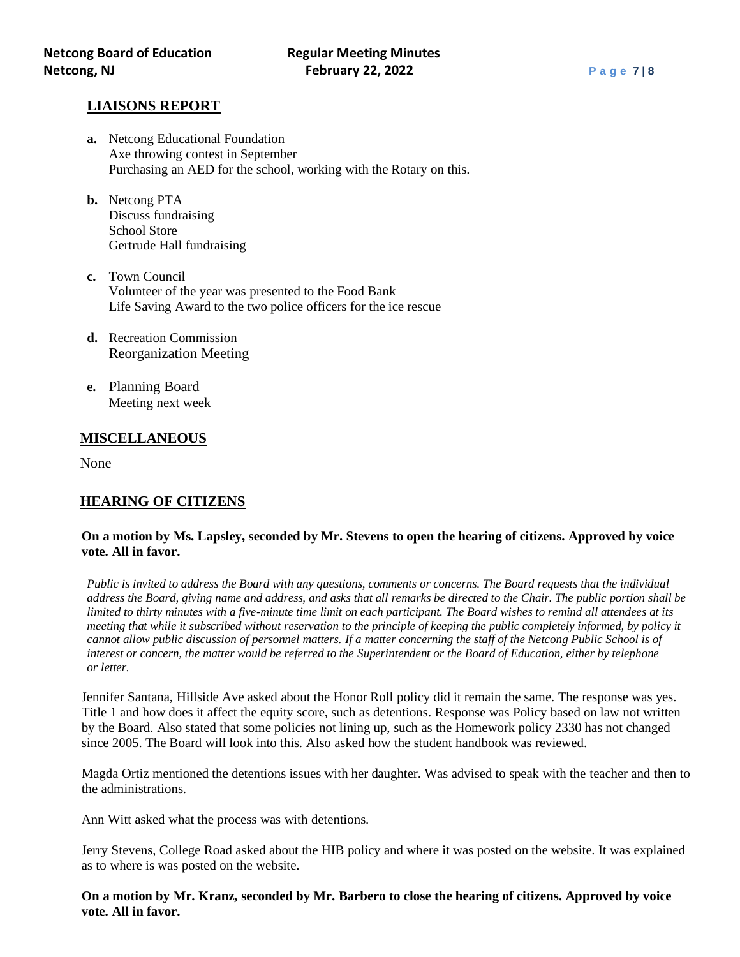### **LIAISONS REPORT**

- **a.** Netcong Educational Foundation Axe throwing contest in September Purchasing an AED for the school, working with the Rotary on this.
- **b.** Netcong PTA Discuss fundraising School Store Gertrude Hall fundraising
- **c.** Town Council Volunteer of the year was presented to the Food Bank Life Saving Award to the two police officers for the ice rescue
- **d.** Recreation Commission Reorganization Meeting
- **e.** Planning Board Meeting next week

### **MISCELLANEOUS**

None

## **HEARING OF CITIZENS**

#### **On a motion by Ms. Lapsley, seconded by Mr. Stevens to open the hearing of citizens. Approved by voice vote. All in favor.**

*Public is invited to address the Board with any questions, comments or concerns. The Board requests that the individual address the Board, giving name and address, and asks that all remarks be directed to the Chair. The public portion shall be limited to thirty minutes with a five-minute time limit on each participant. The Board wishes to remind all attendees at its meeting that while it subscribed without reservation to the principle of keeping the public completely informed, by policy it cannot allow public discussion of personnel matters. If a matter concerning the staff of the Netcong Public School is of interest or concern, the matter would be referred to the Superintendent or the Board of Education, either by telephone or letter.*

Jennifer Santana, Hillside Ave asked about the Honor Roll policy did it remain the same. The response was yes. Title 1 and how does it affect the equity score, such as detentions. Response was Policy based on law not written by the Board. Also stated that some policies not lining up, such as the Homework policy 2330 has not changed since 2005. The Board will look into this. Also asked how the student handbook was reviewed.

Magda Ortiz mentioned the detentions issues with her daughter. Was advised to speak with the teacher and then to the administrations.

Ann Witt asked what the process was with detentions.

Jerry Stevens, College Road asked about the HIB policy and where it was posted on the website. It was explained as to where is was posted on the website.

**On a motion by Mr. Kranz, seconded by Mr. Barbero to close the hearing of citizens. Approved by voice vote. All in favor.**